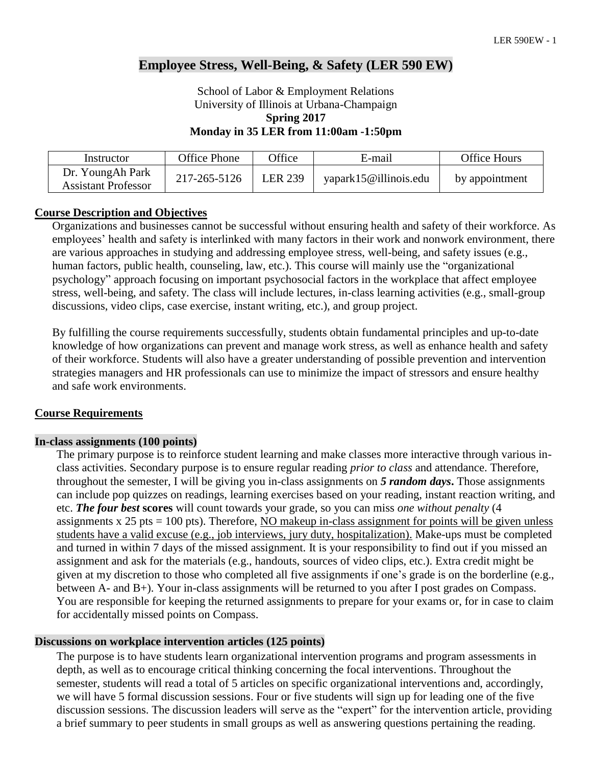# **Employee Stress, Well-Being, & Safety (LER 590 EW)**

School of Labor & Employment Relations University of Illinois at Urbana-Champaign **Spring 2017**

**Monday in 35 LER from 11:00am -1:50pm**

| Instructor                              | Office Phone | <b>Office</b> | E-mail                | <b>Office Hours</b> |
|-----------------------------------------|--------------|---------------|-----------------------|---------------------|
| Dr. YoungAh Park<br>Assistant Professor | 217-265-5126 | LER 239       | vapark15@illinois.edu | by appointment      |

### **Course Description and Objectives**

Organizations and businesses cannot be successful without ensuring health and safety of their workforce. As employees' health and safety is interlinked with many factors in their work and nonwork environment, there are various approaches in studying and addressing employee stress, well-being, and safety issues (e.g., human factors, public health, counseling, law, etc.). This course will mainly use the "organizational psychology" approach focusing on important psychosocial factors in the workplace that affect employee stress, well-being, and safety. The class will include lectures, in-class learning activities (e.g., small-group discussions, video clips, case exercise, instant writing, etc.), and group project.

By fulfilling the course requirements successfully, students obtain fundamental principles and up-to-date knowledge of how organizations can prevent and manage work stress, as well as enhance health and safety of their workforce. Students will also have a greater understanding of possible prevention and intervention strategies managers and HR professionals can use to minimize the impact of stressors and ensure healthy and safe work environments.

#### **Course Requirements**

#### **In-class assignments (100 points)**

The primary purpose is to reinforce student learning and make classes more interactive through various inclass activities. Secondary purpose is to ensure regular reading *prior to class* and attendance. Therefore, throughout the semester, I will be giving you in-class assignments on *5 random days***.** Those assignments can include pop quizzes on readings, learning exercises based on your reading, instant reaction writing, and etc. *The four best* **scores** will count towards your grade, so you can miss *one without penalty* (4 assignments x  $25$  pts = 100 pts). Therefore, NO makeup in-class assignment for points will be given unless students have a valid excuse (e.g., job interviews, jury duty, hospitalization). Make-ups must be completed and turned in within 7 days of the missed assignment. It is your responsibility to find out if you missed an assignment and ask for the materials (e.g., handouts, sources of video clips, etc.). Extra credit might be given at my discretion to those who completed all five assignments if one's grade is on the borderline (e.g., between A- and B+). Your in-class assignments will be returned to you after I post grades on Compass. You are responsible for keeping the returned assignments to prepare for your exams or, for in case to claim for accidentally missed points on Compass.

#### **Discussions on workplace intervention articles (125 points)**

The purpose is to have students learn organizational intervention programs and program assessments in depth, as well as to encourage critical thinking concerning the focal interventions. Throughout the semester, students will read a total of 5 articles on specific organizational interventions and, accordingly, we will have 5 formal discussion sessions. Four or five students will sign up for leading one of the five discussion sessions. The discussion leaders will serve as the "expert" for the intervention article, providing a brief summary to peer students in small groups as well as answering questions pertaining the reading.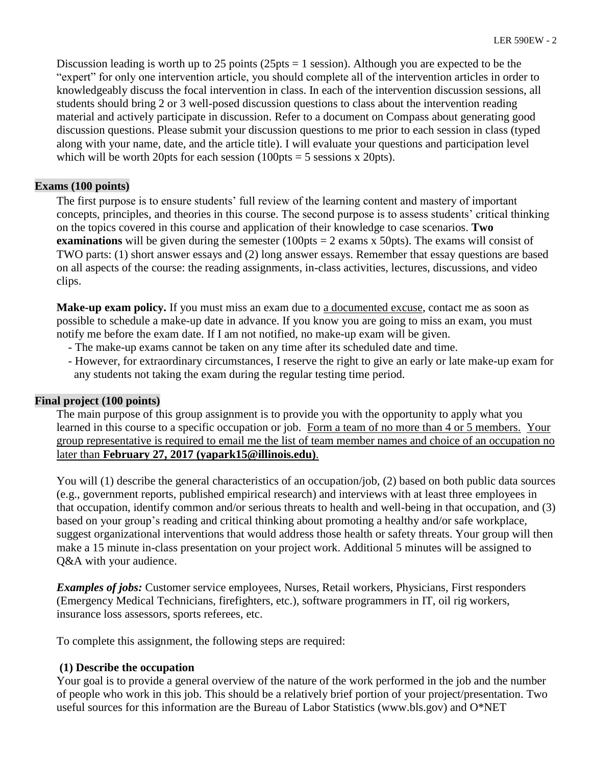Discussion leading is worth up to 25 points ( $25pts = 1$  session). Although you are expected to be the "expert" for only one intervention article, you should complete all of the intervention articles in order to knowledgeably discuss the focal intervention in class. In each of the intervention discussion sessions, all students should bring 2 or 3 well-posed discussion questions to class about the intervention reading material and actively participate in discussion. Refer to a document on Compass about generating good discussion questions. Please submit your discussion questions to me prior to each session in class (typed along with your name, date, and the article title). I will evaluate your questions and participation level which will be worth 20pts for each session  $(100pts = 5$  sessions x 20pts).

# **Exams (100 points)**

The first purpose is to ensure students' full review of the learning content and mastery of important concepts, principles, and theories in this course. The second purpose is to assess students' critical thinking on the topics covered in this course and application of their knowledge to case scenarios. **Two examinations** will be given during the semester  $(100pts = 2 \text{ exams x} 50pts)$ . The exams will consist of TWO parts: (1) short answer essays and (2) long answer essays. Remember that essay questions are based on all aspects of the course: the reading assignments, in-class activities, lectures, discussions, and video clips.

Make-up exam policy. If you must miss an exam due to a documented excuse, contact me as soon as possible to schedule a make-up date in advance. If you know you are going to miss an exam, you must notify me before the exam date. If I am not notified, no make-up exam will be given.

- The make-up exams cannot be taken on any time after its scheduled date and time.
- However, for extraordinary circumstances, I reserve the right to give an early or late make-up exam for any students not taking the exam during the regular testing time period.

### **Final project (100 points)**

The main purpose of this group assignment is to provide you with the opportunity to apply what you learned in this course to a specific occupation or job. Form a team of no more than 4 or 5 members. Your group representative is required to email me the list of team member names and choice of an occupation no later than **February 27, 2017 (yapark15@illinois.edu)**.

You will (1) describe the general characteristics of an occupation/job, (2) based on both public data sources (e.g., government reports, published empirical research) and interviews with at least three employees in that occupation, identify common and/or serious threats to health and well-being in that occupation, and (3) based on your group's reading and critical thinking about promoting a healthy and/or safe workplace, suggest organizational interventions that would address those health or safety threats. Your group will then make a 15 minute in-class presentation on your project work. Additional 5 minutes will be assigned to Q&A with your audience.

*Examples of jobs:* Customer service employees, Nurses, Retail workers, Physicians, First responders (Emergency Medical Technicians, firefighters, etc.), software programmers in IT, oil rig workers, insurance loss assessors, sports referees, etc.

To complete this assignment, the following steps are required:

# **(1) Describe the occupation**

Your goal is to provide a general overview of the nature of the work performed in the job and the number of people who work in this job. This should be a relatively brief portion of your project/presentation. Two useful sources for this information are the Bureau of Labor Statistics (www.bls.gov) and O\*NET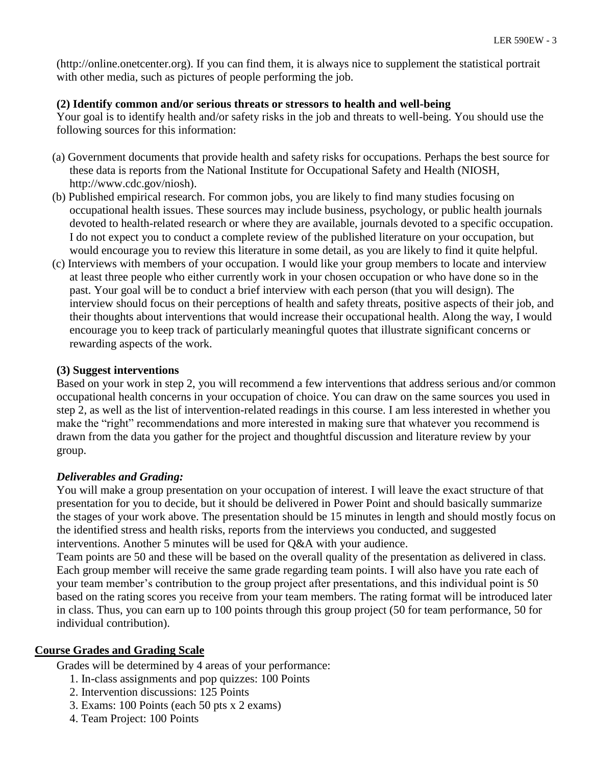(http://online.onetcenter.org). If you can find them, it is always nice to supplement the statistical portrait with other media, such as pictures of people performing the job.

## **(2) Identify common and/or serious threats or stressors to health and well-being**

Your goal is to identify health and/or safety risks in the job and threats to well-being. You should use the following sources for this information:

- (a) Government documents that provide health and safety risks for occupations. Perhaps the best source for these data is reports from the National Institute for Occupational Safety and Health (NIOSH, http://www.cdc.gov/niosh).
- (b) Published empirical research. For common jobs, you are likely to find many studies focusing on occupational health issues. These sources may include business, psychology, or public health journals devoted to health-related research or where they are available, journals devoted to a specific occupation. I do not expect you to conduct a complete review of the published literature on your occupation, but would encourage you to review this literature in some detail, as you are likely to find it quite helpful.
- (c) Interviews with members of your occupation. I would like your group members to locate and interview at least three people who either currently work in your chosen occupation or who have done so in the past. Your goal will be to conduct a brief interview with each person (that you will design). The interview should focus on their perceptions of health and safety threats, positive aspects of their job, and their thoughts about interventions that would increase their occupational health. Along the way, I would encourage you to keep track of particularly meaningful quotes that illustrate significant concerns or rewarding aspects of the work.

### **(3) Suggest interventions**

Based on your work in step 2, you will recommend a few interventions that address serious and/or common occupational health concerns in your occupation of choice. You can draw on the same sources you used in step 2, as well as the list of intervention-related readings in this course. I am less interested in whether you make the "right" recommendations and more interested in making sure that whatever you recommend is drawn from the data you gather for the project and thoughtful discussion and literature review by your group.

# *Deliverables and Grading:*

You will make a group presentation on your occupation of interest. I will leave the exact structure of that presentation for you to decide, but it should be delivered in Power Point and should basically summarize the stages of your work above. The presentation should be 15 minutes in length and should mostly focus on the identified stress and health risks, reports from the interviews you conducted, and suggested interventions. Another 5 minutes will be used for Q&A with your audience.

Team points are 50 and these will be based on the overall quality of the presentation as delivered in class. Each group member will receive the same grade regarding team points. I will also have you rate each of your team member's contribution to the group project after presentations, and this individual point is 50 based on the rating scores you receive from your team members. The rating format will be introduced later in class. Thus, you can earn up to 100 points through this group project (50 for team performance, 50 for individual contribution).

# **Course Grades and Grading Scale**

Grades will be determined by 4 areas of your performance:

- 1. In-class assignments and pop quizzes: 100 Points
- 2. Intervention discussions: 125 Points
- 3. Exams: 100 Points (each 50 pts x 2 exams)
- 4. Team Project: 100 Points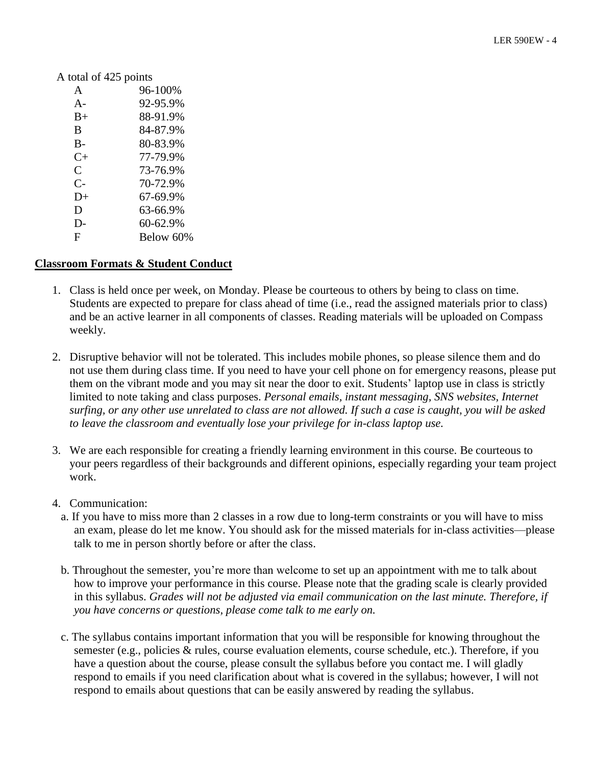| A total of 425 points |           |
|-----------------------|-----------|
| A                     | 96-100%   |
| $A -$                 | 92-95.9%  |
| $B+$                  | 88-91.9%  |
| B                     | 84-87.9%  |
| $B -$                 | 80-83.9%  |
| $C_{\pm}$             | 77-79.9%  |
| $\mathcal{C}$         | 73-76.9%  |
| $\mathsf{C}\text{-}$  | 70-72.9%  |
| $D+$                  | 67-69.9%  |
| D                     | 63-66.9%  |
| D-                    | 60-62.9%  |
| F                     | Below 60% |

### **Classroom Formats & Student Conduct**

- 1. Class is held once per week, on Monday. Please be courteous to others by being to class on time. Students are expected to prepare for class ahead of time (i.e., read the assigned materials prior to class) and be an active learner in all components of classes. Reading materials will be uploaded on Compass weekly.
- 2. Disruptive behavior will not be tolerated. This includes mobile phones, so please silence them and do not use them during class time. If you need to have your cell phone on for emergency reasons, please put them on the vibrant mode and you may sit near the door to exit. Students' laptop use in class is strictly limited to note taking and class purposes. *Personal emails, instant messaging, SNS websites, Internet surfing, or any other use unrelated to class are not allowed. If such a case is caught, you will be asked to leave the classroom and eventually lose your privilege for in-class laptop use.*
- 3. We are each responsible for creating a friendly learning environment in this course. Be courteous to your peers regardless of their backgrounds and different opinions, especially regarding your team project work.
- 4. Communication:
	- a. If you have to miss more than 2 classes in a row due to long-term constraints or you will have to miss an exam, please do let me know. You should ask for the missed materials for in-class activities—please talk to me in person shortly before or after the class.
	- b. Throughout the semester, you're more than welcome to set up an appointment with me to talk about how to improve your performance in this course. Please note that the grading scale is clearly provided in this syllabus. *Grades will not be adjusted via email communication on the last minute. Therefore, if you have concerns or questions, please come talk to me early on.*
	- c. The syllabus contains important information that you will be responsible for knowing throughout the semester (e.g., policies & rules, course evaluation elements, course schedule, etc.). Therefore, if you have a question about the course, please consult the syllabus before you contact me. I will gladly respond to emails if you need clarification about what is covered in the syllabus; however, I will not respond to emails about questions that can be easily answered by reading the syllabus.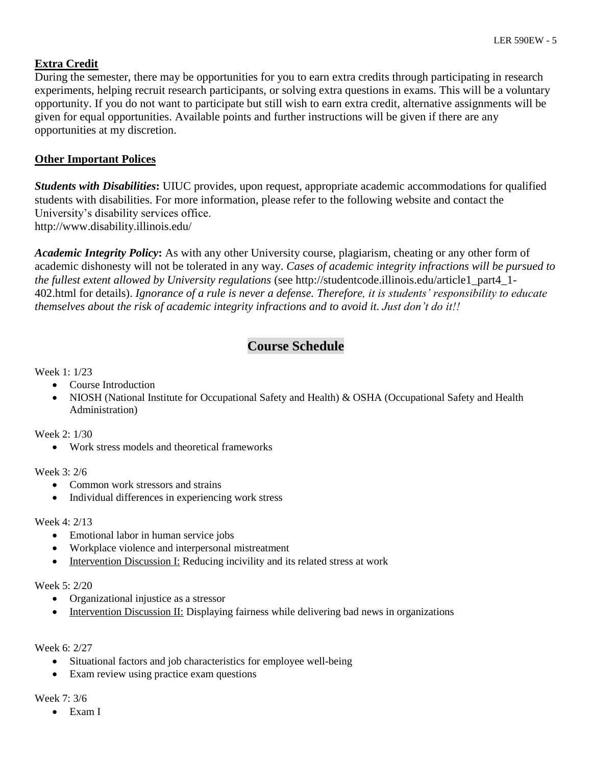# **Extra Credit**

During the semester, there may be opportunities for you to earn extra credits through participating in research experiments, helping recruit research participants, or solving extra questions in exams. This will be a voluntary opportunity. If you do not want to participate but still wish to earn extra credit, alternative assignments will be given for equal opportunities. Available points and further instructions will be given if there are any opportunities at my discretion.

# **Other Important Polices**

*Students with Disabilities***:** UIUC provides, upon request, appropriate academic accommodations for qualified students with disabilities. For more information, please refer to the following website and contact the University's disability services office. http://www.disability.illinois.edu/

*Academic Integrity Policy***:** As with any other University course, plagiarism, cheating or any other form of academic dishonesty will not be tolerated in any way. *Cases of academic integrity infractions will be pursued to the fullest extent allowed by University regulations* (see http://studentcode.illinois.edu/article1\_part4\_1- 402.html for details). *Ignorance of a rule is never a defense. Therefore, it is students' responsibility to educate themselves about the risk of academic integrity infractions and to avoid it. Just don't do it!!*

# **Course Schedule**

Week 1: 1/23

- Course Introduction
- NIOSH (National Institute for Occupational Safety and Health) & OSHA (Occupational Safety and Health Administration)

Week 2: 1/30

• Work stress models and theoretical frameworks

Week 3: 2/6

- Common work stressors and strains
- Individual differences in experiencing work stress

### Week 4: 2/13

- Emotional labor in human service jobs
- Workplace violence and interpersonal mistreatment
- Intervention Discussion I: Reducing incivility and its related stress at work

### Week 5: 2/20

- Organizational injustice as a stressor
- Intervention Discussion II: Displaying fairness while delivering bad news in organizations

### Week 6: 2/27

- Situational factors and job characteristics for employee well-being
- Exam review using practice exam questions

Week 7: 3/6

Exam I